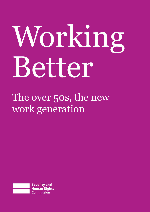# Working Better

The over 50s, the new work generation

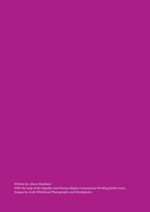Written by Alison Maitland.

With the help of the Equality and Human Rights Commission Working Better team. Images by Andy Whitehead Photography and iStockphoto.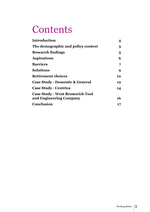### **Contents**

| <b>Introduction</b>                        | 4  |
|--------------------------------------------|----|
| The demographic and policy context         | 5  |
| <b>Research findings</b>                   | 5  |
| <b>Aspirations</b>                         | 6  |
| <b>Barriers</b>                            | 7  |
| <b>Solutions</b>                           | 9  |
| <b>Retirement choices</b>                  | 10 |
| <b>Case Study - Domestic &amp; General</b> | 12 |
| <b>Case Study - Centrica</b>               | 14 |
| <b>Case Study - West Bromwich Tool</b>     |    |
| and Engineering Company                    | 16 |
| <b>Conclusion</b>                          | 17 |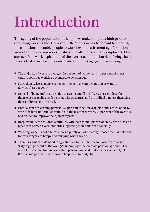### Introduction

The ageing of the population has led policy-makers to put a high priority on extending working life. However, little attention has been paid to creating the conditions to enable people to work beyond retirement age. Traditional views about older workers still shape the attitudes of many employers. Our survey of the work aspirations of the over 50s, and the barriers facing them, reveals that many assumptions made about this age group are wrong:

- $\blacksquare$  The majority of workers over 50 (62 per cent of women and 59 per cent of men) want to continue working beyond state pension age.
- $\blacksquare$  More than twice as many (11 per cent) over 50s want promotion as want to downshift (4 per cent).
- Instead of being unfit to work due to ageing and ill health, 62 per cent describe themselves as feeling as fit as ever, with structural and attitudinal barriers thwarting their ability to stay involved.
- **n** Enthusiasm for learning persists: 44 per cent of  $56-59$  year-olds and a third of  $60-64$ year-olds have undertaken training in the past three years. 21 per cent of the over 50s had trained to improve their job prospects.
- Responsibility for children continues, with nearly one-quarter of  $56$ -59 year-olds and 9 per cent of 70-75 year-olds still supporting their children financially.
- $\blacksquare$  Working longer is not a burden borne purely out of necessity: those who have elected to work longer are happy and enjoying what they do.
- $\blacksquare$  There is significant demand for greater flexibility in hours and location of work. Sixty-eight per cent of the over 50s unemployed below state pension age and 85 per cent of people inactive and over state pension age said that greater availability of flexible and part-time work would help them to find jobs.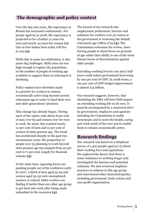#### **The demographic and policy context**

Over the last 200 years, life expectancy in Britain has increased continuously. For people aged 65 in 2008, life expectancy is projected to be a further 21 years for men and nearly 24 years for women **(1)**. One in four babies born today will live to 100 **(2)**.

While this is cause for celebration, it also poses big challenges. Birth rates are not high enough to replace the population, so the number of people of working age available to support those in retirement is declining.

Policy-makers have therefore made it a priority for workers to remain economically active long beyond current retirement age in order to fund their own and older generations' pensions.

This change has already begun. During most of the 1990s, only about 8 per cent of men over 65 and women over 60 were in work. By 2006, this reached nearly 10 per cent of men and 12 per cent of women of state pension age. The trend has accelerated sharply in the past two recessionary years: the proportion of people over 55 planning to work beyond state pension age has jumped from 40 per cent to 71 per cent, largely for financial reasons **(3)**.

At the same time, opposing forces are pushing people out of the workforce early: by 2007, a third of men aged 55-64 and women aged 55-59 were unemployed, inactive or retired. Older workers are finding it harder than any other age group to get back into work after being made redundant in the recession **(4)**.

The launch of our research into employment preferences, barriers and solutions for workers over 50 comes as the government is reviewing the default retirement age (DRA) of 65 **(5)**. The Commission welcomes the review, since forcing people to stand down on grounds of age rather than ability is one of the most blatant forms of discrimination against older people.

Extending working lives by one and a half years could reduce government borrowing by one per cent of GDP. In 2008 terms, a one per cent of GDP budget improvement is almost £15 billion.

Our research suggests, however, that abolishing the DRA will have little impact on extending working life on its own. It must be accompanied by a concerted drive by government, employers and agencies including the Commission to tackle stereotypes and to meet the health, caring and work needs of the over 50s to enable them to remain economically active.

#### **Research findings**

Our research was based on a telephone survey of 1,500 people aged 50-75 about their working lives and aspirations. We explored the theory that there is some resistance to working longer and investigated the barriers and potential solutions. We also reviewed employer practices in relation to this age group and interviewed other interested parties, including government, trade unions and non-profit organisations.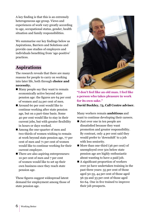A key finding is that this is an extremely heterogeneous age group. Views and experiences of work vary greatly according to age, occupational status, gender, health situation and family responsibilities.

We summarise our key findings below as Aspirations, Barriers and Solutions and provide case studies of employers and individuals benefiting from 'age-positive' practices.

#### **Aspirations**

The research reveals that there are many reasons for people to carry on working into later life, both through **choice and necessity.**

- $\blacksquare$  Many people say they want to remain economically active beyond state pension age: the figures are 64 per cent of women and 24 per cent of men.
- $\blacksquare$  Around 60 per cent would like to continue working after state pension age, but on a part-time basis. Some 40 per cent would like to stay in their current jobs, but with greater flexibility in hours or days worked.
- Among the one-quarter of men and two-thirds of women wishing to remain at work beyond state pension age, 77 per cent of men and 71 per cent of women would like to continue working for their current employer.
- $\blacksquare$  There are also aspiring entrepreneurs: 10 per cent of men and 7 per cent of women would like to set up their own business once they reach state pension age.

These figures suggest widespread latent demand for employment among those of state pension age.



**"I don't feel like an old man. I feel like a person who takes pleasure in work for its own sake."** 

**David Buckley, 73, Call Centre adviser.** 

Many workers remain **ambitious** and want to continue developing their careers.

- $\blacksquare$  Just over one in ten people are dissatisfied because they want promotion and greater responsibility. By contrast, only 4 per cent said they would prefer to 'downshift' to a job with less seniority.
- More than one-third (36 per cent) of unemployed over 50s below state pension age are highly enthusiastic about wanting to have a paid job.
- $\blacksquare$  A significant proportion of workers over 50 have undertaken training in the past three years: 55 per cent of those aged 50-55, 44 per cent of those aged 56-59 and 33 per cent of those aged 60-64. One in five trained to improve their job prospects.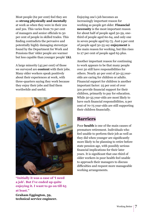Most people (62 per cent) feel they are as **strong physically and mentally** at work as when they were in their 20s and 30s. This varies from 70 per cent of managers and senior officials to 50 per cent of people in skilled trades. This finding contradicts the pervasive and potentially highly damaging stereotype found by the Department for Work and Pensions that 'older people are warmer but less capable than younger people' **(6)**.

A large minority (45 per cent) of those we surveyed are **content** with their jobs. Many older workers speak positively about their experiences at work, with three-quarters saying they work because they enjoy their jobs and find them worthwhile and useful.



**"Initially it was a case of 'I need a job'. But I've ended up quite enjoying it. I want to go on till 65 at least."**

**Graham Eggington, 59, technical service engineer.**

Enjoying one's job becomes an increasingly important reason for working as people get older. **Financial necessity** is the most important reason for about half of people aged 50-59, onethird of people aged 60-64, and only one in seven people aged 65-75. Just 9 per cent of people aged 50-55 say **enjoyment** is the main reason for working, but this rises to 27 per cent of people aged 65-plus.

Another important reason for continuing to work appears to be that many people over 50 still have responsibilities for others. Nearly 40 per cent of 50-55 yearolds are caring for children or adults. Financial support for children is another important factor: 25 per cent of over 50s provide financial support for their children, primarily to pay for education. While 50-55 year-olds are most likely to have such financial responsibilities, 9 per cent of 70-75 year-olds are still supporting their children financially.

#### **Barriers**

Poor **health** is one of the main causes of premature retirement. Individuals who feel unable to perform their job as well as they did when younger are significantly more likely to be planning to retire before state pension age, with possibly serious financial implications for their later years. It is significant that one-third of older workers in poor health feel unable to approach their managers to discuss difficulties and request more manageable working arrangements.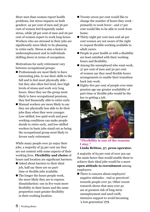More men than women report health problems, but stress impacts on both genders: 42 per cent of men and 36 per cent of women feel frequently under stress, while 38 per cent of men and 26 per cent of women expect to work long hours. Workers who are stressed in their jobs are significantly more likely to be planning to retire early. Stress is also a factor in underemployment and in individuals shifting down in terms of occupation.

Motivations for early retirement vary between occupational groups:

- $\blacksquare$  Professionals are most likely to have interesting jobs, to use their skills to the full and to feel most physically able but they also often feel tired, face high levels of stress and work very long hours. Since they are the group most likely to have occupational pensions, they feel financially able to retire early.
- $\blacksquare$  Manual workers are more likely to say they are physically less able to do their jobs than when they were younger. Low-skilled, low-paid work and poor working conditions can make people decide to retire early, and low-skilled workers in basic jobs stand out as being the occupational group most likely to favour early retirement.

While many people over 50 enjoy their jobs, a majority of 55 per cent say they are not content with some aspects of their working lives. **Flexibility and choice** of hours and location are significant barriers:

- $\blacksquare$  Asked about barriers to their ideal job, half say there are no part- time or flexible jobs available.
- $\blacksquare$  The longer the hours people work, the more likely they are to express dissatisfaction: one in five want more flexibility in their hours and the same proportion want greater flexibility in their working location.
- Twenty-seven per cent would like to change the number of hours they work primarily to work fewer - and 17 per cent would like to be able to work from home.
- $\blacksquare$  Thirty-eight per cent men and 46 per cent women are not aware of the right to request flexible working available to adult carers.
- $\blacksquare$  People in poor health or with a disability are least satisfied with their working hours and flexibility.
- $\blacksquare$  Among the unemployed who want work, 37 per cent of men and 50 per cent of women say they need flexible hours arrangements to enable their transition back into work.
- $\blacksquare$  Eighty-five per cent of people over state pension age say greater availability of part-time or flexible jobs would be the key to getting a job.



**"Flexibility is one of the reasons I stay."** 

**Linda Britton, 57, press operator.**

A majority of 63 per cent of over 50s say the main factor that would enable them to achieve their ideal jobs would be a more **open attitude to recruitment** among employers:

■ There is concern about employers' negative attitudes - real or perceived towards people over 50. Other recent research shows that men over 50 are at greatest risk of long-term unemployment and need swift, intensive support to avoid becoming 'a lost generation' **(7)**.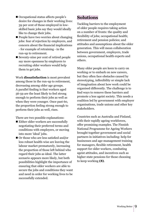- Occupational status affects people's desire for changes in their working lives: 39 per cent of those employed in lowskilled basic jobs say they would ideally like to change their jobs.
- $\blacksquare$  People have two worries about changing jobs: fear of rejection by employers, and concern about the financial implications - for example of retraining - in the run-up to retirement.
- $\blacksquare$  Seventy-nine per cent of retired people say more openness by employers to recruiting older workers would help them to get jobs.

Work **dissatisfaction** is most prevalent among those in the run-up to retirement, decreasing among older age groups. A parallel finding is that workers aged 56-59 are the least likely to feel strong enough to perform their jobs as well as when they were younger. Once past 60, the proportion feeling strong enough to perform their jobs as well, rises.

There are two possible explanations:

- $\blacksquare$  Either older workers are successfully negotiating their preferred terms and conditions with employers, or moving into more 'ideal' jobs.
- $\blacksquare$  Or those who are less satisfied and/or less robust health-wise are leaving the labour market prematurely, increasing the proportion of those left behind who regard their jobs as ideal. The latter scenario appears more likely, but both possibilities highlight the importance of ensuring that older workers are able to secure the jobs and conditions they want and need in order for working lives to be successfully extended.

#### **Solutions**

Tackling barriers to the employment of older people requires taking action on a number of fronts: the quality and flexibility of jobs; occupational health; retirement and pension policies; and attitudes and assumptions about the older generation. This will mean collaboration between government, employers, trade unions, occupational health experts and others.

Many older people are keen to carry on working or to embark on new careers, but they often face obstacles caused by stereotyping, inflexibility or simple lack of imagination about how work could be organised differently. The challenge is to find ways to remove these barriers and promote a less ageist society. This needs a coalition led by government with employer organisations, trade unions and other key stakeholders.

Countries such as Australia and Finland, with their rapidly ageing workforces, offer promising examples. The Finnish National Programme for Ageing Workers brought together government and social partners in initiatives including: help for businesses and age-management training for managers, flexible retirement, health support for older workers, combating ageist attitudes, and incentives such as higher state pensions for those choosing to keep working **(8)**.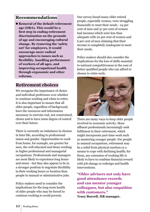#### **Recommendations**

■ Removal of the default retirement **age (DRA). This would be a first step in ending retirement discrimination on the grounds of age and encouraging cultural change. By removing the 'safety net' for employers, it would encourage more radical approaches to issues such as flexibility, handling performance of workers of all ages, and improving occupational health through ergonomic and other reforms.**

#### **Retirement choices**

We recognise the importance of choice and individual preference over whether to continue working and when to retire. It is also important to ensure that all older people, regardless of background, have the resources and information necessary to exercise real, not constrained, choice and to have some degree of control over their future.

There is currently an imbalance in choices in later life, according to professional status and gender. Opportunities to work from home, for example, are greater for men, the well educated and those working in higher professional and managerial occupations. Professionals and managers are most likely to experience long hours and stress - but they also appear to be in a stronger position to negotiate flexibility in their working hours or location than people in manual or administrative jobs.

Policy-makers need to consider the implications for the long-term health of older people who may be forced to continue working to avoid poverty.

Our survey found many older retired people, especially women, were struggling financially to meet their needs - 24 per cent of men and 37 per cent of women had incomes which were less than adequate with 20 per cent of women and 6 per cent of men claiming that their income is completely inadequate to meet their needs.

Policy-makers should also consider the implications for the loss of skills essential to national competitiveness in the case of better-qualified people who can afford to choose to retire early.



There are many ways to keep older people involved in economic activity. More affluent professionals increasingly seek fulfilment in their retirement, which might incorporate part-time work such as mentoring younger people. For people in manual occupations, retirement may be a relief from physical exertion or a means to cope with declining health; for them, any extension of working life is likely to have to combine financial reward with job change or redesign and health interventions.

**"Older advisers not only have good attendance records and can mentor younger colleagues, but also empathise with customers." Tracy Burrell, HR manager.**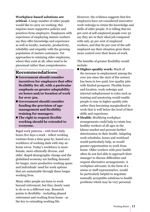#### **Workplace-based solutions are**

**critical.** A large number of older people would like to carry on working; this requires more supportive policies and practices from employers. Employers with experience of employing mature workers say they offer knowledge and experience as well as loyalty, maturity, productivity, reliability and empathy with the growing population of mature customers. Yet approaches to retaining older employees, where they exist at all, often tend to be piecemeal rather than comprehensive.

#### **Recommendations**

- Government should consider **incentives for employers that offer flexibility for all, with a particular emphasis on greater adaptability on hours and/or location of work for over 50s.**
- Government should consider **funding the provision of agemanagement and flexibility training for managers.**
- The right to request flexible **working should be extended to everyone.**

Rigid work patterns - with fixed daily hours five days a week - reflect working routines from a time gone by, based on a workforce of working dads with stay-athome wives. Today's workforce is more female, more ethnically diverse, and older. Rapid demographic change and the globalised economy are fuelling demand for longer, more productive working spans and individuals' need for work options that are sustainable through these longer working lives.

Many older people are keen to work beyond retirement, but they clearly want to do so in a different way. Research points to flexibility - including phased retirement and working from home - as the key to extending working life.

However, the evidence suggests that few employers have yet considered innovative work redesign to retain the knowledge and skills of older people. It is telling that 60 per cent of self-employed people over 50 say they are in their ideal job compared with only 42 per cent of employed workers, and that 82 per cent of the selfemployed say their situation gives them more control over their hours of work.

The benefits of greater flexibility would include:

- **Higher-quality work:** Much of the increase in employment among the over 50s since the start of the century has been in low-paid, low-quality jobs with limited prospects. Flexible hours and location, work redesign and internal redeployment to roles such as training and mentoring would enable people to stay in higher-quality jobs rather than becoming marginalised in work that is well below the level of their skills and experience.
- **Health:** Modifying workplace arrangements could help to retain less healthy workers of all ages in the labour market and prevent further deterioration in their health. Adapting work schedules, hours and workload would particularly help, as would greater opportunities to work from home. Older workers with poor health often do not feel able to approach their manager to discuss difficulties and request alternative arrangements. A workplace advocate, in the form of a union or staff representative, would be particularly helpful to negotiate mutually acceptable solutions to health problems which may be very personal.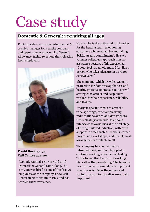# Case study

#### **Domestic & General: recruiting all ages**

David Buckley was made redundant at 60 as sales manager for a textile company and spent nine months on Job Seeker's Allowance, facing rejection after rejection from employers.



#### **David Buckley, 73, Call Centre adviser.**

"Nobody wanted a 60 year-old until Domestic & General came along," he says. He was hired as one of the first 20 employees at the company's new Call Centre in Nottingham in 1997 and has worked there ever since.

Now 73, he is the outbound call handler for the heating team, telephoning customers who need advice and taking 'brickbats and compliments'. He says younger colleagues approach him for assistance because of his experience. "I don't feel like an old man. I feel like a person who takes pleasure in work for its own sake."

The company, which provides warranty protection for domestic appliances and heating systems, operates 'age-positive' strategies to attract and keep older workers for their experience, reliability and loyalty.

It targets specific media to attract a wide age range, for example using radio stations aimed at older listeners. Other strategies include: telephone interviews to avoid bias at the first stage of hiring; tailored induction, with extra support in areas such as IT skills; career progression workshops; and flexible work arrangements available to all.

The company has no mandatory retirement age, and Buckley opted to continue working when he reached 65. "I like to feel that I'm part of working life, rather than vegetating. The financial motivation was tremendously important when I was 60. Now the money and having a reason to stay alive are equally important."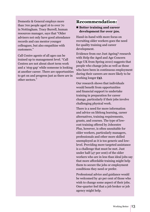Domestic & General employs more than 700 people aged 16 to over 70 in Nottingham. Tracy Burrell, human resources manager, says that "Older advisers not only have good attendance records and can mentor younger colleagues, but also empathise with customers."

Call Centre agents of all ages can be trained up to management level. "Call Centres are not about short term work and a 'stop gap' while someone is looking at another career. There are opportunities to get on and progress just as there are in other sectors."

#### **Recommendation:**

#### ■ Better training and career **development for over 50s.**

Hand-in-hand with more focus on recruiting older workers goes the need for quality training and career development.

Evidence from our Just Ageing? research with Help the Aged and Age Concern (Age UK from Spring 2010) suggests that people who change jobs as well as those who have been in continuous employment during their careers are more likely to be working longer **(9)**.

Our research shows that individuals would benefit from opportunities and financial support to undertake training in preparation for career change, particularly if their jobs involve challenging physical work.

There is a need for more information and advice on lifelong learning, career alternatives, training requirements, grants, and courses. The type of lowcost training offered by Jobcentre Plus, however, is often unsuitable for older workers, particularly managers, professionals and other more skilled unemployed as it is too generic and lowlevel. Providing more targeted assistance is a challenge that must be met. Just under half (47 per cent) of the older workers who are in less than ideal jobs say that more affordable training might help them to secure the jobs or employment conditions they need or prefer.

Professional advice and guidance would be welcomed by 40 per cent of those who wish to change some aspect of their jobs. One-quarter feel that a job broker or job agency might help.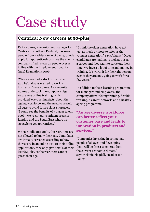## Case study

#### **Centrica: New careers at 50-plus**

Keith Adams, a recruitment manager for Centrica in southern England, has seen people from a wider range of backgrounds apply for apprenticeships since the energy company lifted its cap on people over 25 in line with the Employment Equality (Age) Regulations 2006.

"We've even had a stockbroker who said he'd always wanted to work with his hands," says Adams. As a recruiter, Adams undertook the company's Age Awareness online training, which provided 'eye-opening facts' about the ageing workforce and the need to recruit all ages to avoid future skills shortages. "I could see the benefits of a bigger talent pool – we've got quite affluent areas in London and the South East where we struggle to get apprentices."

When candidates apply, the recruiters are not allowed to know their age. Candidates are initially screened according to how they score in an online test. In their online applications, they only give details of their last few jobs, so the recruiters cannot guess their age.

"I think the older generation have got just as much or more to offer as the younger generation," says Adams. "Older candidates are tending to look at this as a career and they want to serve out their time. We invest a lot of time and money in training. It's worth it for the right person, even if they are only going to work for a few years."

In addition to the e-learning programme for managers and employees, the company offers lifelong training, flexible working, a carers' network, and a healthy ageing programme.

**"An age diverse workforce can better reflect your customer base and leads to innovation in products and services."**

"Companies investing in competent people of all ages and developing them will be fittest to emerge from the current economic climate," says Melanie Flogdell, Head of HR Policy.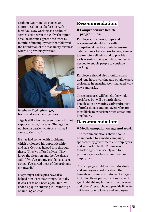Graham Egginton, 59, started an apprenticeship just before his 57th birthday. Now working as a technical service engineer in the Wolverhampton area, he became apprenticed after 14 months of unemployment that followed the liquidation of the machinery business where he previously worked.



**Graham Eggington, 59, technical service engineer.** 

"Age is still a barrier, even though it's not supposed to be," he says. "But age has not been a barrier whatsoever since I came to Centrica."

He has had some health problems, which prolonged his apprenticeship, and says Centrica helped him through these. "They've offered advice. They know the situation and they've always said, 'if you've got any problems, give us a ring'. I've sorted most of the problems out myself."

His younger colleagues have also helped him learn new things. "Initially it was a case of 'I need a job'. But I've ended up quite enjoying it. I want to go on until 65 at least."

#### **Recommendation:**

#### ■ **Comprehensive health programmes.**

Employers, business groups and government should work with occupational health experts to ensure older workers have access to programmes to promote wellbeing and to provide early warning of ergonomic adjustments needed to enable people to continue working.

Employers should also monitor stress and long hours working and obtain expert assistance in ensuring well-managed work flows and tasks.

These measures will benefit the whole workforce but will be particularly beneficial in preventing early retirement of professionals and managers who are most likely to experience high stress and long hours.

#### **Recommendation:**

#### ■ Media campaign on age and work.

The recommendations above should be supported by a media campaign, sponsored by government and employers and supported by the Commission, to tackle ageism in society and to promote age-positive recruitment and employment.

The campaign could feature individuals and employers speaking about the benefits of having a workforce of all ages, including those past current retirement age, highlight key findings from our own and others' research, and provide links to guidance for employers and employees.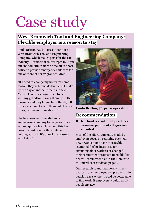## Case study

#### **West Bromwich Tool and Engineering Company: Flexible employer is a reason to stay**

Linda Britton, 57, is a press operator at West Bromwich Tool and Engineering Company, which makes parts for the car industry. Her normal shift is 2pm to 10pm but she sometimes needs time off at short notice to provide emergency childcare for one or more of her 17 grandchildren.

"If I need to change my hours for some reason, they've let me do that, and I make up the day at another time," she says. "A couple of weeks ago, I had to help with my grandson. I rang them up in the morning and they let me have the day off. If they need me to help them out at other times, I come in if I'm able to."

She has been with the Midlands engineering company for 14 years. "I've worked quite a few places and this has been the best one for flexibility and helping you out. It's one of the reasons why I stay."



**Linda Britton, 57, press operator.**

#### **Recommendation:**

#### ■ Overhaul recruitment practices **to ensure people of all ages are recruited.**

Most of the efforts currently made by employers focus on retaining over 50s. Few organisations have thoroughly examined the business case for attracting older workers or changed their recruitment practices to enable 'age neutral' recruitment, as in the Domestic & General case study on page 12.

Our research found that nearly threequarters of unemployed people over state pension age say they would be better able to find work 'if employers would recruit people my age'.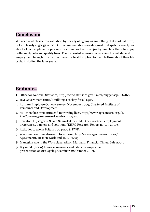#### **Conclusion**

We need a wholesale re-evaluation by society of ageing as something that starts at birth, not arbitrarily at 50, 55 or 60. Our recommendations are designed to dispatch stereotypes about older people and open new horizons for the over 50s by enabling them to enjoy both quality jobs and quality lives. The successful extension of working life will depend on employment being both an attractive and a healthy option for people throughout their life cycle, including the later years.

#### **Endnotes**

- **1** Office for National Statistics, http://www.statistics.gov.uk/cci/nugget.asp?ID=168
- **2** HM Government (2009) Building a society for all ages.
- **3** Autumn Employee Outlook survey, November 2009, Chartered Institute of Personnel and Development.
- **4** 50+ men face premature end to working lives, http://www.ageconcern.org.uk/ AgeConcern/50-men-work-end-021209.asp
- **5** Smeaton, D., Vegeris, S. and Sahin-Dikmen, M, Older workers: employment preferences, barriers and solutions (EHRC Research Report no. 43, 2010).
- **6** Attitudes to age in Britain 2004-2008, DWP.
- **7** 50+ men face premature end to working, http://www.ageconcern.org.uk/ AgeConcern/50-men-work-end-021209.asp
- **8** Managing Age in the Workplace, Alison Maitland, Financial Times, July 2005.
- **9** Bryan, M. (2009) Life-course events and later-life employment: presentation at Just Ageing? Seminar, 28 October 2009.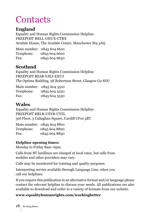### **Contacts**

#### **England**

Equality and Human Rights Commission Helpline FREEPOST RRLL-GHUX-CTRX Arndale House, The Arndale Centre, Manchester M4 3AQ

Main number: 0845 604 6610 Textphone: 0845 604 6620 Fax: 0845 604 6630

#### **Scotland**

Equality and Human Rights Commission Helpline FREEPOST RSAB-YJEJ-EXUJ The Optima Building, 58 Robertson Street, Glasgow G2 8DU

|            | Main number: 0845 604 5510 |
|------------|----------------------------|
| Textphone: | 0845 604 5520              |
| Fax:       | 0845 604 5530              |

#### **Wales**

Equality and Human Rights Commission Helpline FREEPOST RRLR-UEYB-UYZL 3rd Floor, 3 Callaghan Square, Cardiff CF10 5BT

|            | Main number: 0845 604 8810 |
|------------|----------------------------|
| Textphone: | 0845 604 8820              |
| Fax:       | 0845 604 8830              |

#### **Helpline opening times:**

Monday to Friday 8am–6pm.

Calls from BT landlines are charged at local rates, but calls from mobiles and other providers may vary.

Calls may be monitored for training and quality purposes.

Interpreting service available through Language Line, when you call our helplines.

If you require this publication in an alternative format and/or language please contact the relevant helpline to discuss your needs. All publications are also available to download and order in a variety of formats from our website.

#### **www.equalityhumanrights.com/workingbetter**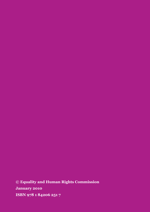**© Equality and Human Rights Commission January 2010 ISBN 978 1 84206 251 7**